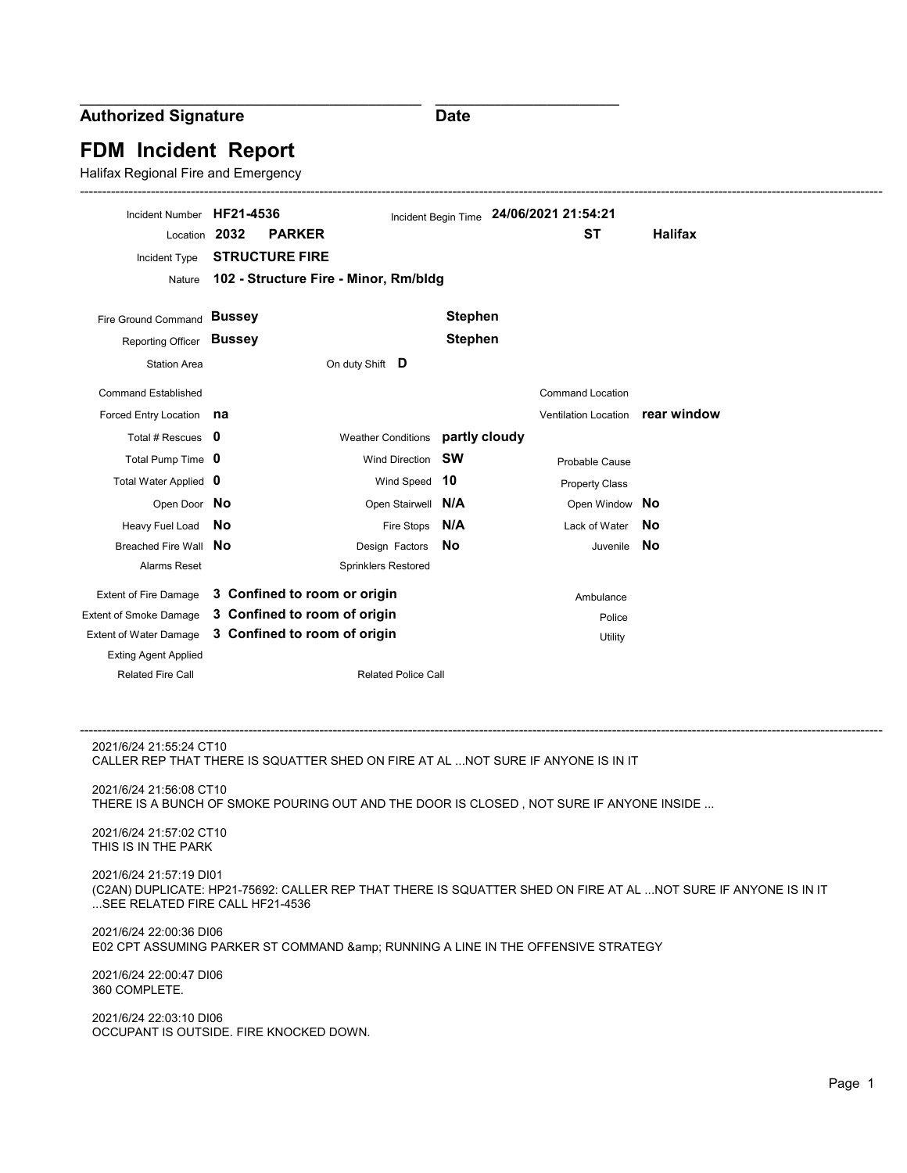Authorized Signature

**Date** 

\_\_\_\_\_\_\_\_\_\_\_\_\_\_\_\_\_\_\_\_\_\_\_\_\_\_\_\_

# FDM Incident Report

\_\_\_\_\_\_\_\_\_\_\_\_\_\_\_\_\_\_\_\_\_\_\_\_\_\_\_\_\_\_\_\_\_\_\_\_\_\_\_\_\_\_\_\_\_\_\_\_\_\_\_\_

Halifax Regional Fire and Emergency

| Incident Number HF21-4536<br>Location 2032                                                                                                                                   | <b>PARKER</b>                         |                                  |                | Incident Begin Time 24/06/2021 21:54:21<br><b>ST</b> | <b>Halifax</b> |
|------------------------------------------------------------------------------------------------------------------------------------------------------------------------------|---------------------------------------|----------------------------------|----------------|------------------------------------------------------|----------------|
|                                                                                                                                                                              |                                       |                                  |                |                                                      |                |
| Incident Type                                                                                                                                                                | <b>STRUCTURE FIRE</b>                 |                                  |                |                                                      |                |
| Nature                                                                                                                                                                       | 102 - Structure Fire - Minor, Rm/bldg |                                  |                |                                                      |                |
| Fire Ground Command Bussey                                                                                                                                                   |                                       |                                  | <b>Stephen</b> |                                                      |                |
| Reporting Officer                                                                                                                                                            | <b>Bussey</b>                         |                                  | <b>Stephen</b> |                                                      |                |
| <b>Station Area</b>                                                                                                                                                          |                                       | On duty Shift <b>D</b>           |                |                                                      |                |
| <b>Command Established</b>                                                                                                                                                   |                                       |                                  |                | <b>Command Location</b>                              |                |
| Forced Entry Location                                                                                                                                                        | na                                    |                                  |                | Ventilation Location rear window                     |                |
| Total # Rescues 0                                                                                                                                                            |                                       | Weather Conditions partly cloudy |                |                                                      |                |
| Total Pump Time 0                                                                                                                                                            |                                       | <b>Wind Direction</b>            | sw             | Probable Cause                                       |                |
| Total Water Applied 0                                                                                                                                                        |                                       | Wind Speed 10                    |                | <b>Property Class</b>                                |                |
| Open Door No                                                                                                                                                                 |                                       | Open Stairwell N/A               |                | Open Window No                                       |                |
| Heavy Fuel Load                                                                                                                                                              | No                                    | Fire Stops                       | N/A            | Lack of Water                                        | No             |
| Breached Fire Wall                                                                                                                                                           | No                                    | Design Factors                   | No             | Juvenile                                             | No             |
| Alarms Reset                                                                                                                                                                 |                                       | <b>Sprinklers Restored</b>       |                |                                                      |                |
| <b>Extent of Fire Damage</b>                                                                                                                                                 | 3 Confined to room or origin          |                                  |                | Ambulance                                            |                |
| <b>Extent of Smoke Damage</b>                                                                                                                                                | 3 Confined to room of origin          |                                  |                | Police                                               |                |
| <b>Extent of Water Damage</b>                                                                                                                                                | 3 Confined to room of origin          |                                  |                | Utility                                              |                |
| <b>Exting Agent Applied</b>                                                                                                                                                  |                                       |                                  |                |                                                      |                |
| <b>Related Fire Call</b>                                                                                                                                                     | <b>Related Police Call</b>            |                                  |                |                                                      |                |
|                                                                                                                                                                              |                                       |                                  |                |                                                      |                |
|                                                                                                                                                                              |                                       |                                  |                |                                                      |                |
| 2021/6/24 21:55:24 CT10<br>CALLER REP THAT THERE IS SQUATTER SHED ON FIRE AT AL NOT SURE IF ANYONE IS IN IT                                                                  |                                       |                                  |                |                                                      |                |
| 2021/6/24 21:56:08 CT10<br>THERE IS A BUNCH OF SMOKE POURING OUT AND THE DOOR IS CLOSED, NOT SURE IF ANYONE INSIDE                                                           |                                       |                                  |                |                                                      |                |
| 2021/6/24 21:57:02 CT10                                                                                                                                                      |                                       |                                  |                |                                                      |                |
| THIS IS IN THE PARK                                                                                                                                                          |                                       |                                  |                |                                                      |                |
| 2021/6/24 21:57:19 DI01<br>(C2AN) DUPLICATE: HP21-75692: CALLER REP THAT THERE IS SQUATTER SHED ON FIRE AT AL NOT SURE IF ANYONE IS IN IT<br>SEE RELATED FIRE CALL HF21-4536 |                                       |                                  |                |                                                      |                |
| 2021/6/24 22:00:36 DI06                                                                                                                                                      |                                       |                                  |                |                                                      |                |
| E02 CPT ASSUMING PARKER ST COMMAND & RUNNING A LINE IN THE OFFENSIVE STRATEGY                                                                                                |                                       |                                  |                |                                                      |                |
| 2021/6/24 22:00:47 DI06<br>360 COMPLETE.                                                                                                                                     |                                       |                                  |                |                                                      |                |
| 2021/6/24 22:03:10 DI06<br>OCCUPANT IS OUTSIDE. FIRE KNOCKED DOWN.                                                                                                           |                                       |                                  |                |                                                      |                |
|                                                                                                                                                                              |                                       |                                  |                |                                                      |                |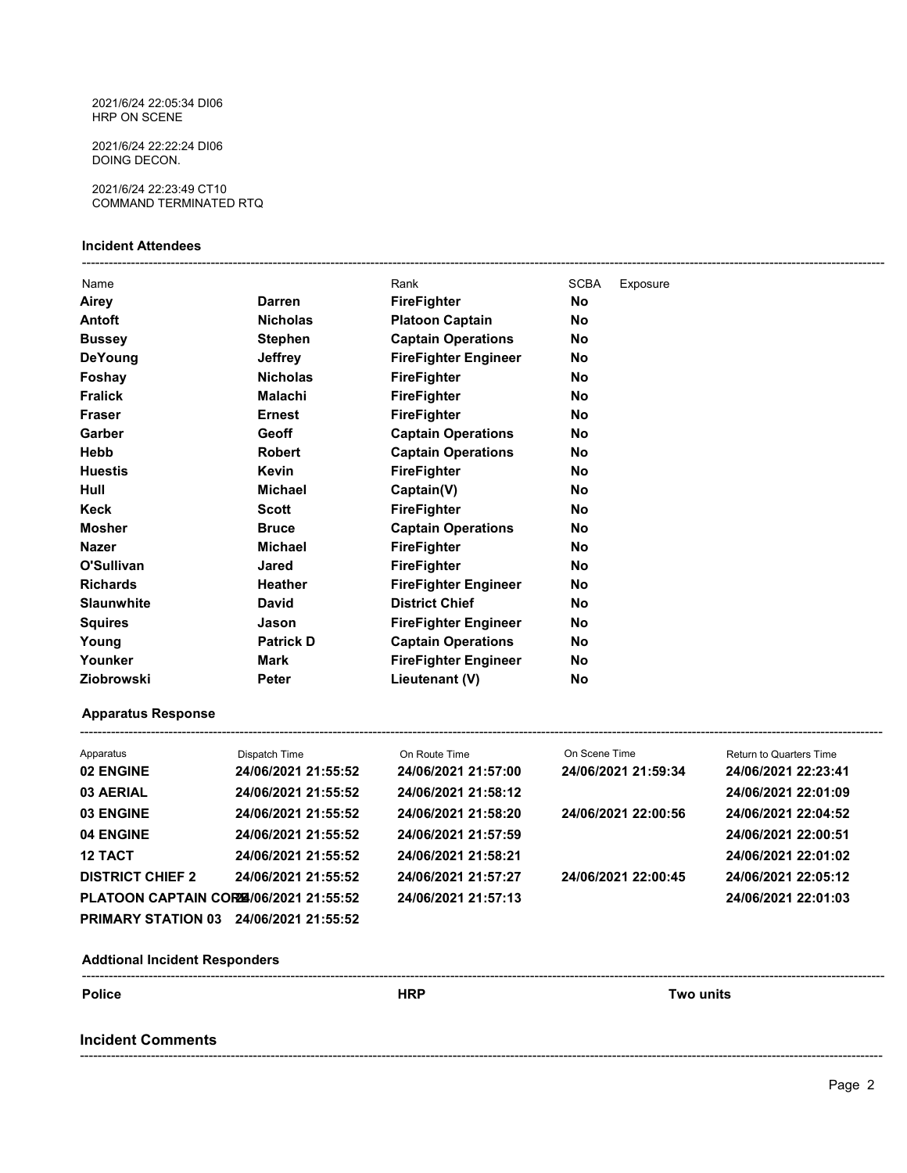2021/6/24 22:05:34 DI06 HRP ON SCENE

2021/6/24 22:22:24 DI06 DOING DECON.

2021/6/24 22:23:49 CT10 COMMAND TERMINATED RTQ

### Incident Attendees

| Name              |                  | Rank                        | <b>SCBA</b> | Exposure |
|-------------------|------------------|-----------------------------|-------------|----------|
| Airey             | <b>Darren</b>    | <b>FireFighter</b>          | No          |          |
| Antoft            | <b>Nicholas</b>  | <b>Platoon Captain</b>      | No          |          |
| <b>Bussey</b>     | <b>Stephen</b>   | <b>Captain Operations</b>   | No          |          |
| <b>DeYoung</b>    | <b>Jeffrey</b>   | <b>FireFighter Engineer</b> | No          |          |
| Foshay            | <b>Nicholas</b>  | <b>FireFighter</b>          | No          |          |
| <b>Fralick</b>    | Malachi          | <b>FireFighter</b>          | No          |          |
| <b>Fraser</b>     | <b>Ernest</b>    | <b>FireFighter</b>          | No          |          |
| Garber            | Geoff            | <b>Captain Operations</b>   | No          |          |
| Hebb              | <b>Robert</b>    | <b>Captain Operations</b>   | No          |          |
| <b>Huestis</b>    | <b>Kevin</b>     | <b>FireFighter</b>          | No          |          |
| Hull              | <b>Michael</b>   | Captain(V)                  | No          |          |
| Keck              | <b>Scott</b>     | <b>FireFighter</b>          | No          |          |
| <b>Mosher</b>     | <b>Bruce</b>     | <b>Captain Operations</b>   | No          |          |
| <b>Nazer</b>      | <b>Michael</b>   | FireFighter                 | No          |          |
| O'Sullivan        | Jared            | <b>FireFighter</b>          | No          |          |
| <b>Richards</b>   | Heather          | <b>FireFighter Engineer</b> | <b>No</b>   |          |
| <b>Slaunwhite</b> | <b>David</b>     | <b>District Chief</b>       | No          |          |
| <b>Squires</b>    | Jason            | <b>FireFighter Engineer</b> | No          |          |
| Young             | <b>Patrick D</b> | <b>Captain Operations</b>   | No          |          |
| Younker           | Mark             | <b>FireFighter Engineer</b> | No          |          |
| Ziobrowski        | <b>Peter</b>     | Lieutenant (V)              | No          |          |

## Apparatus Response

| Apparatus                             | Dispatch Time       | On Route Time       | On Scene Time       | <b>Return to Quarters Time</b> |
|---------------------------------------|---------------------|---------------------|---------------------|--------------------------------|
| 02 ENGINE                             | 24/06/2021 21:55:52 | 24/06/2021 21:57:00 | 24/06/2021 21:59:34 | 24/06/2021 22:23:41            |
| 03 AERIAL                             | 24/06/2021 21:55:52 | 24/06/2021 21:58:12 |                     | 24/06/2021 22:01:09            |
| 03 ENGINE                             | 24/06/2021 21:55:52 | 24/06/2021 21:58:20 | 24/06/2021 22:00:56 | 24/06/2021 22:04:52            |
| 04 ENGINE                             | 24/06/2021 21:55:52 | 24/06/2021 21:57:59 |                     | 24/06/2021 22:00:51            |
| <b>12 TACT</b>                        | 24/06/2021 21:55:52 | 24/06/2021 21:58:21 |                     | 24/06/2021 22:01:02            |
| <b>DISTRICT CHIEF 2</b>               | 24/06/2021 21:55:52 | 24/06/2021 21:57:27 | 24/06/2021 22:00:45 | 24/06/2021 22:05:12            |
| PLATOON CAPTAIN CORE/06/2021 21:55:52 |                     | 24/06/2021 21:57:13 |                     | 24/06/2021 22:01:03            |
| <b>PRIMARY STATION 03</b>             | 24/06/2021 21:55:52 |                     |                     |                                |

Addtional Incident Responders ------------------------------------------------------------------------------------------------------------------------------------------------------------------------------------- Police **The Example 2018** Two units and the HRP Two units Incident Comments

-------------------------------------------------------------------------------------------------------------------------------------------------------------------------------------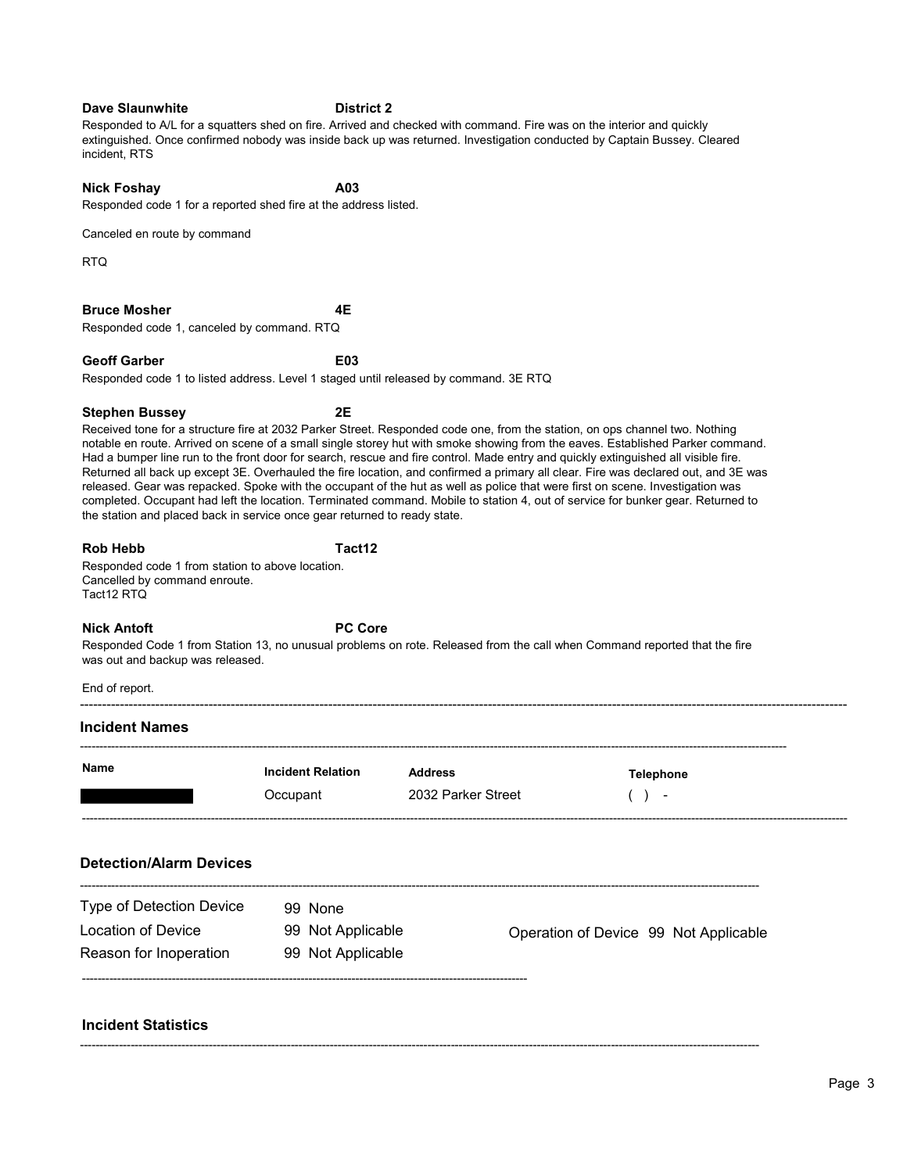| Canceled en route by command                                                                                       |                                      |                                      |                                                                                                                                                                                                                                                                                                                                                                                                                                                                                                                                                                                                                                                                                                                                                                                                               |  |
|--------------------------------------------------------------------------------------------------------------------|--------------------------------------|--------------------------------------|---------------------------------------------------------------------------------------------------------------------------------------------------------------------------------------------------------------------------------------------------------------------------------------------------------------------------------------------------------------------------------------------------------------------------------------------------------------------------------------------------------------------------------------------------------------------------------------------------------------------------------------------------------------------------------------------------------------------------------------------------------------------------------------------------------------|--|
| RTQ                                                                                                                |                                      |                                      |                                                                                                                                                                                                                                                                                                                                                                                                                                                                                                                                                                                                                                                                                                                                                                                                               |  |
| <b>Bruce Mosher</b><br>Responded code 1, canceled by command. RTQ                                                  | 4Ε                                   |                                      |                                                                                                                                                                                                                                                                                                                                                                                                                                                                                                                                                                                                                                                                                                                                                                                                               |  |
| <b>Geoff Garber</b><br>Responded code 1 to listed address. Level 1 staged until released by command. 3E RTQ        | E03                                  |                                      |                                                                                                                                                                                                                                                                                                                                                                                                                                                                                                                                                                                                                                                                                                                                                                                                               |  |
|                                                                                                                    |                                      |                                      |                                                                                                                                                                                                                                                                                                                                                                                                                                                                                                                                                                                                                                                                                                                                                                                                               |  |
| <b>Stephen Bussey</b><br>the station and placed back in service once gear returned to ready state.                 | 2E                                   |                                      | Received tone for a structure fire at 2032 Parker Street. Responded code one, from the station, on ops channel two. Nothing<br>notable en route. Arrived on scene of a small single storey hut with smoke showing from the eaves. Established Parker command.<br>Had a bumper line run to the front door for search, rescue and fire control. Made entry and quickly extinguished all visible fire.<br>Returned all back up except 3E. Overhauled the fire location, and confirmed a primary all clear. Fire was declared out, and 3E was<br>released. Gear was repacked. Spoke with the occupant of the hut as well as police that were first on scene. Investigation was<br>completed. Occupant had left the location. Terminated command. Mobile to station 4, out of service for bunker gear. Returned to |  |
| <b>Rob Hebb</b><br>Responded code 1 from station to above location.<br>Cancelled by command enroute.<br>Tact12 RTQ | Tact12                               |                                      |                                                                                                                                                                                                                                                                                                                                                                                                                                                                                                                                                                                                                                                                                                                                                                                                               |  |
| <b>Nick Antoft</b><br>was out and backup was released.                                                             | <b>PC Core</b>                       |                                      | Responded Code 1 from Station 13, no unusual problems on rote. Released from the call when Command reported that the fire                                                                                                                                                                                                                                                                                                                                                                                                                                                                                                                                                                                                                                                                                     |  |
| End of report.                                                                                                     |                                      |                                      |                                                                                                                                                                                                                                                                                                                                                                                                                                                                                                                                                                                                                                                                                                                                                                                                               |  |
| <b>Incident Names</b>                                                                                              |                                      |                                      |                                                                                                                                                                                                                                                                                                                                                                                                                                                                                                                                                                                                                                                                                                                                                                                                               |  |
| Name                                                                                                               | <b>Incident Relation</b><br>Occupant | <b>Address</b><br>2032 Parker Street | <b>Telephone</b><br>(<br>$\sim$                                                                                                                                                                                                                                                                                                                                                                                                                                                                                                                                                                                                                                                                                                                                                                               |  |
| <b>Detection/Alarm Devices</b>                                                                                     |                                      |                                      |                                                                                                                                                                                                                                                                                                                                                                                                                                                                                                                                                                                                                                                                                                                                                                                                               |  |
| Type of Detection Device                                                                                           | 99 None                              |                                      |                                                                                                                                                                                                                                                                                                                                                                                                                                                                                                                                                                                                                                                                                                                                                                                                               |  |
| <b>Location of Device</b>                                                                                          | 99 Not Applicable                    |                                      | Operation of Device 99 Not Applicable                                                                                                                                                                                                                                                                                                                                                                                                                                                                                                                                                                                                                                                                                                                                                                         |  |
| Reason for Inoperation                                                                                             | 99 Not Applicable                    |                                      |                                                                                                                                                                                                                                                                                                                                                                                                                                                                                                                                                                                                                                                                                                                                                                                                               |  |
| <b>Incident Statistics</b>                                                                                         |                                      |                                      |                                                                                                                                                                                                                                                                                                                                                                                                                                                                                                                                                                                                                                                                                                                                                                                                               |  |

## Dave Slaunwhite District 2

Responded to A/L for a squatters shed on fire. Arrived and checked with command. Fire was on the interior and quickly extinguished. Once confirmed nobody was inside back up was returned. Investigation conducted by Captain Bussey. Cleared incident, RTS

Nick Foshay **A03** Responded code 1 for a reported shed fire at the address listed.